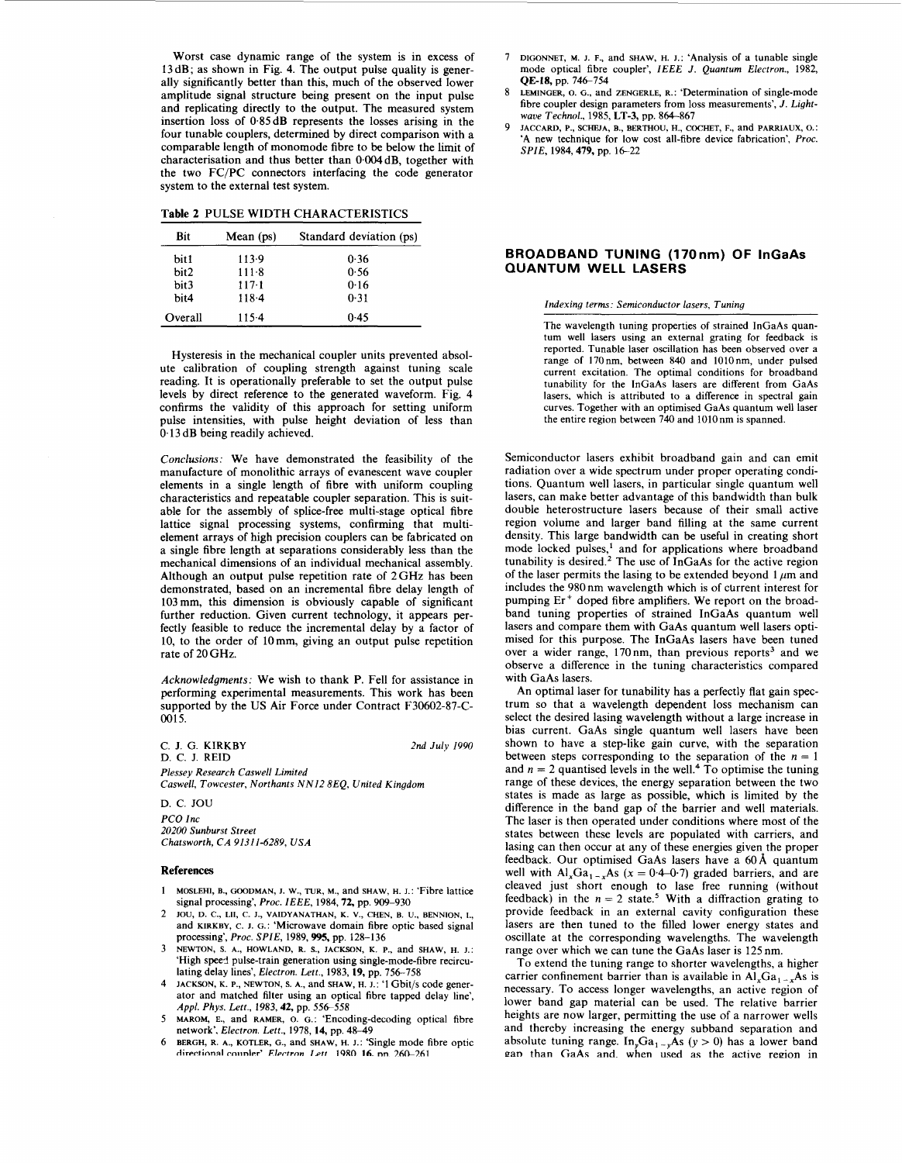Worst case dynamic range of the system is in excess of 13dB; as shown in [Fig. 4.](#page-2-0) The output pulse quality is generally significantly better than this, much of the observed lower amplitude signal structure being present on the input pulse and replicating directly to the output. The measured system insertion loss of 0.85 **dB** represents the losses arising in the four tunable couplers, determined by direct comparison with a comparable length of monomode fibre to be below the limit of characterisation and thus better than *0,004* dB, together with the two FC/PC connectors interfacing the code generator system to the external test system.

|  |  | <b>Table 2 PULSE WIDTH CHARACTERISTICS</b> |
|--|--|--------------------------------------------|
|  |  |                                            |

| Bit     | Mean (ps) | Standard deviation (ps) |
|---------|-----------|-------------------------|
| bit1    | 113.9     | 0.36                    |
| bit2    | 111.8     | 0.56                    |
| bit3    | $117-1$   | 0.16                    |
| bit4    | 118.4     | 0.31                    |
| Overall | $115-4$   | 0.45                    |

Hysteresis in the mechanical coupler units prevented absolute calibration of coupling strength against tuning scale reading. It is operationally preferable to set the output pulse levels by direct reference to the generated waveform. [Fig. 4](#page-2-0) confirms the validity of this approach for setting uniform pulse intensities, with pulse height deviation of less than 0.13 dB being readily achieved.

Conclusions: We have demonstrated the feasibility of the manufacture of monolithic arrays of evanescent wave coupler elements in a single length of fibre with uniform coupling characteristics and repeatable coupler separation. This is suitable for the assembly of splice-free multi-stage optical fibre lattice signal processing systems, confirming that multielement arrays of high precision couplers can be fabricated on a single fibre length at separations considerably less than the mechanical dimensions of an individual mechanical assembly. Although an output pulse repetition rate of 2GHz has been demonstrated, based on an incremental fibre delay length of 103 mm, this dimension is obviously capable of significant further reduction. Given current technology, it appears perfectly feasible to reduce the incremental delay by a factor of 10, to the order of lOmm, giving an output pulse repetition rate of 20 GHz.

Acknowledgments: We wish to thank P. Fell for assistance in performing experimental measurements. This work has been supported by the US Air Force under Contract F30602-87-C-0015.

*C.* J. G. **KIRKBY**  D. C. J. REID *Plessey Research Caswell Limited Caswell, Towcester, Northants "12 8EQ, United Kingdom 2nd July 1990* 

D. *C.* JOU *PCO Inc 20200 Sunburst Street Chatsworth, CA 91311-6289, USA* 

## **References**

- 1 MOSLEHI, B., GOODMAN, J. w., TUR, **M.,** and SHAW, H. J.: 'Fibre lattice signal processing', *Proc. IEEE,* 1984,72, pp. 909-930
- and KIRKBY, C. I. G.: 'Microwave domain fibre optic based signal processing', *Proc. SPIE,* 1989,995, pp. 128-136 2 IOU, D. C., **LII,** C. J., VAIDYANATHAN, K. V., CHEN, **B. U,,** BENNION, **I.,**
- 'High speed pulse-train generation using single-mode-fibre recirculating delay lines', *Electron. Lett.,* 1983, 19, pp. 756-758 3 NEWTON, **S.** A., HOWLAND, R. S., JACKSON, K. P., and SHAW, H. J.:
- JACKSON, K. P., NEWTON, S. A., and SHAW, H. J.: '1 Gbit/s code generator and matched filter using an optical fibre tapped delay line', Appl. Phys. Lett., 1983, **42,** pp. 556-558
- 5 MAROM, E. and RAMER, *0.* G.: 'Encoding-decoding optical fibre network', *Electron. Lett.*, 1978, 14, pp. 48-49
- 6 BERGH, R. A., KOTLER, G., and SHAW, H. J.: 'Single mode fibre optic *directional coupler' Electron Lett* **<b>1980 <b>16.** pp. 260-261
- 7 DIGONNET, **M.** J. F., and SHAW, H. I.: 'Analysis of a tunable single mode optical fibre coupler', *IEEE J. Quantum Electron.,* 1982, QE-18, pp. 746-754
- LEMINGER, **0.** G., and ZENGERLE, R.: 'Determination of single-mode fibre coupler design parameters from loss measurements', *J. Lightwaue Technol.,* 1985, LT-3, pp. 864-867 **8**
- 9 JACCARD, P., SCHEJA, B., BERTHOU, H., COCHET, F., and PARRIAUX, O.: 'A new technique for low cost all-fibre device fabrication', *Proc. SPIE*, 1984, 479, pp. 16-22

## **BROADBAND TUNING (170nm) OF InGaAs QUANTUM WELL LASERS**

*Indexing terms: Semiconductor lasers, Tuning* 

The wavelength tuning properties of strained InGaAs quantum well lasers using an external grating for feedback is reported. Tunable laser oscillation has been observed over a range of 170nm, between 840 and 1010nm, under pulsed current excitation. The optimal conditions for broadband tunability for the InGaAs lasers are different from GaAs lasers, which is attributed to a difference in spectral gain curves. Together with an optimised GaAs quantum well laser the entire region between 740 and lOlOnm is spanned.

Semiconductor lasers exhibit broadband gain and can emit radiation over a wide spectrum under proper operating conditions. Quantum well lasers, in particular single quantum well lasers, can make better advantage of this bandwidth than bulk double heterostructure lasers because of their small active region volume and larger band filling at the same current density. This large bandwidth can be useful in creating short mode locked pulses,<sup>1</sup> and for applications where broadband tunability is desired.<sup>2</sup> The use of InGaAs for the active region of the laser permits the lasing to be extended beyond  $1 \mu m$  and includes the 980 nm wavelength which is of current interest for pumping Er' doped fibre amplifiers. We report on the broadband tuning properties of strained InGaAs quantum well lasers and compare them with GaAs quantum well lasers optimised for this purpose. The InGaAs lasers have been tuned over a wider range, 170 nm, than previous reports<sup>3</sup> and we observe a difference in the tuning characteristics compared with GaAs lasers.

An optimal laser for tunability has a perfectly flat gain spectrum so that a wavelength dependent loss mechanism can select the desired lasing wavelength without a large increase in bias current. GaAs single quantum well lasers have been shown to have a step-like gain curve, with the separation between steps corresponding to the separation of the  $n = 1$ and  $n = 2$  quantised levels in the well.<sup>4</sup> To optimise the tuning range of these devices, the energy separation between the two states is made as large as possible, which is limited by the difference in the band gap *of* the barrier and well materials. The laser is then operated under conditions where most of the states between these levels are populated with carriers, and lasing can then occur at any of these energies given the proper feedback. Our optimised GaAs lasers have a **60A** quantum well with  $AI_xGa_{1-x}As$  ( $x = 0.4-0.7$ ) graded barriers, and are cleaved just short enough to lase free running (without feedback) in the  $n = 2$  state.<sup>5</sup> With a diffraction grating to provide feedback in an external cavity configuration these lasers are then tuned to the filled lower energy states and oscillate at the corresponding wavelengths. The wavelength range over which we can tune the GaAs laser is 125 nm.

To extend the tuning range to shorter wavelengths, a higher carrier confinement barrier than is available in  $AI_xGa_{1-x}As$  is necessary. To access longer wavelengths, an active region of lower band gap material can be used. The relative barrier heights are now larger, permitting the use of a narrower wells and thereby increasing the energy subband separation and absolute tuning range. In<sub>y</sub>Ga<sub>1-y</sub>As (y > 0) has a lower band pan than GaAs and. when used as the active region in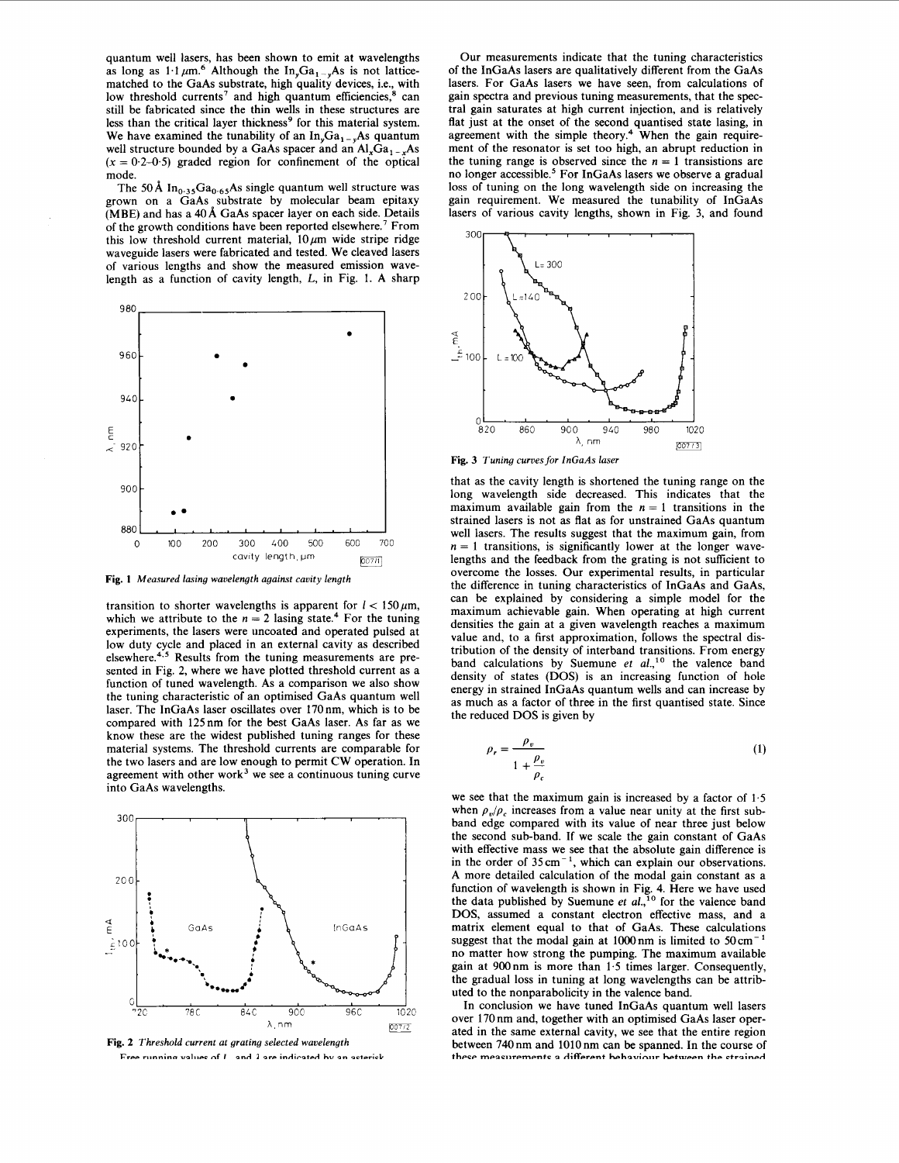quantum well lasers, has been shown to emit at wavelengths as long as  $1.1 \mu m$ <sup>6</sup> Although the In<sub>y</sub>Ga<sub>1-y</sub>As is not latticematched to the GaAs substrate, high quality devices, i.e., with low threshold currents<sup>7</sup> and high quantum efficiencies,<sup>8</sup> can still be fabricated since the thin wells in these structures are less than the critical layer thickness<sup>9</sup> for this material system. We have examined the tunability of an  $In<sub>s</sub>Ga<sub>1-s</sub>As quantum$ well structure bounded by a GaAs spacer and an  $Al_xGa_{1-x}As$  $(x = 0.2 - 0.5)$  graded region for confinement of the optical mode.

The 50 Å  $In_{0.35}Ga_{0.65}As$  single quantum well structure was grown on a GaAs substrate by molecular beam epitaxy (MBE) and has a **40A** GaAs spacer layer on each side. Details of the growth conditions have been reported elsewhere.' From this low threshold current material,  $10 \mu m$  wide stripe ridge waveguide lasers were fabricated and tested. We cleaved lasers of various lengths and show the measured emission wavelength as a function of cavity length, *L,* in [Fig. 1.](#page-2-0) A sharp



**[Fig.](#page-2-0) 1** *Measured lasing waoelength against cavity length* 

transition to shorter wavelengths is apparent for  $l < 150 \,\mu\text{m}$ , which we attribute to the  $n = 2$  lasing state.<sup>4</sup> For the tuning experiments, the lasers were uncoated and operated pulsed at low duty cycle and placed in an external cavity as described elsewhere. $4.5$  Results from the tuning measurements are presented in Fig. 2, where we have plotted threshold current as a function of tuned wavelength. As a comparison we also show the tuning characteristic of an optimised GaAs quantum well laser. The InGaAs laser oscillates over 170nm, which is to be compared with 125nm for the best GaAs laser. As far as we know these are the widest published tuning ranges for these material systems. The threshold currents are comparable for the two lasers and are low enough to permit CW operation. In agreement with other work<sup>3</sup> we see a continuous tuning curve into GaAs wavelengths.





Our measurements indicate that the tuning characteristics of the InGaAs lasers are qualitatively different from the GaAs lasers. For GaAs lasers we have seen, from calculations of gain spectra and previous tuning measurements, that the spectral gain saturates at high current injection, and is relatively flat just at the onset of the second quantised state lasing, in agreement with the simple theory.<sup>4</sup> When the gain requirement of the resonator is set too high, an abrupt reduction in the tuning range is observed since the  $n = 1$  transistions are no longer accessible.<sup>5</sup> For InGaAs lasers we observe a gradual loss of tuning on the long wavelength side on increasing the gain requirement. We measured the tunability of InGaAs lasers of various cavity lengths, shown in Fig. 3, and found



**Fig. 3** *Tuning curves for InGaAs laser* 

that as the cavity length is shortened the tuning range on the long wavelength side decreased. This indicates that the maximum available gain from the  $n = 1$  transitions in the strained lasers is not as flat as for unstrained GaAs quantum well lasers. The results suggest that the maximum gain, from  $n = 1$  transitions, is significantly lower at the longer wavelengths and the feedback from the grating is not sufficient to overcome the losses. Our experimental results, in particular the difference in tuning characteristics of InGaAs and GaAs, can be explained by considering a simple model for the maximum achievable gain. When operating at high current densities the gain at a given wavelength reaches a maximum value and, to a first approximation, follows the spectral distribution of the density of interband transitions. From energy band calculations by Suemune et  $al$ <sup>10</sup> the valence band density of states (DOS) is an increasing function of hole energy in strained InGaAs quantum wells and can increase by as much as a factor of three in the first quantised state. Since the reduced DOS is given by calculations by Su<br>
of states (DOS)<br>
in strained InGaAs<br>
h as a factor of thr<br>
uced DOS is given<br>  $\rho_r = \frac{\rho_v}{1 + \frac{\rho_v}{\rho}}$ 

$$
\rho_r = \frac{\rho_v}{1 + \frac{\rho_v}{\rho_c}}\tag{1}
$$

we see that the maximum gain is increased by a factor of  $1.5$ when  $\rho_p/\rho_c$  increases from a value near unity at the first subband edge compared with its value of near three just below the second sub-band. If we scale the gain constant of GaAs with effective mass we see that the absolute gain difference is in the order of  $35 \text{ cm}^{-1}$ , which can explain our observations. A more detailed calculation of the modal gain constant as a function of wavelength is shown in [Fig.](#page-2-0) **4.** Here we have used the data published by Suemune et  $al<sub>1</sub>$ <sup>10</sup> for the valence band DOS, assumed a constant electron effective mass, and a matrix element equal to that of GaAs. These calculations suggest that the modal gain at 1000 nm is limited to 50 cm<sup>-</sup> no matter how strong the pumping. The maximum available gain at 900nm is more than 1.5 times larger. Consequently, the gradual loss in tuning at long wavelengths can be attributed to the nonparabolicity in the valence band.

In conclusion we have tuned InGaAs quantum well lasers over 170 nm and, together with an optimised GaAs laser operated in the same external cavity, we see that the entire region between 740 nm and 1010 nm can be spanned. In the course of these measurements a different hebayiour between the strained